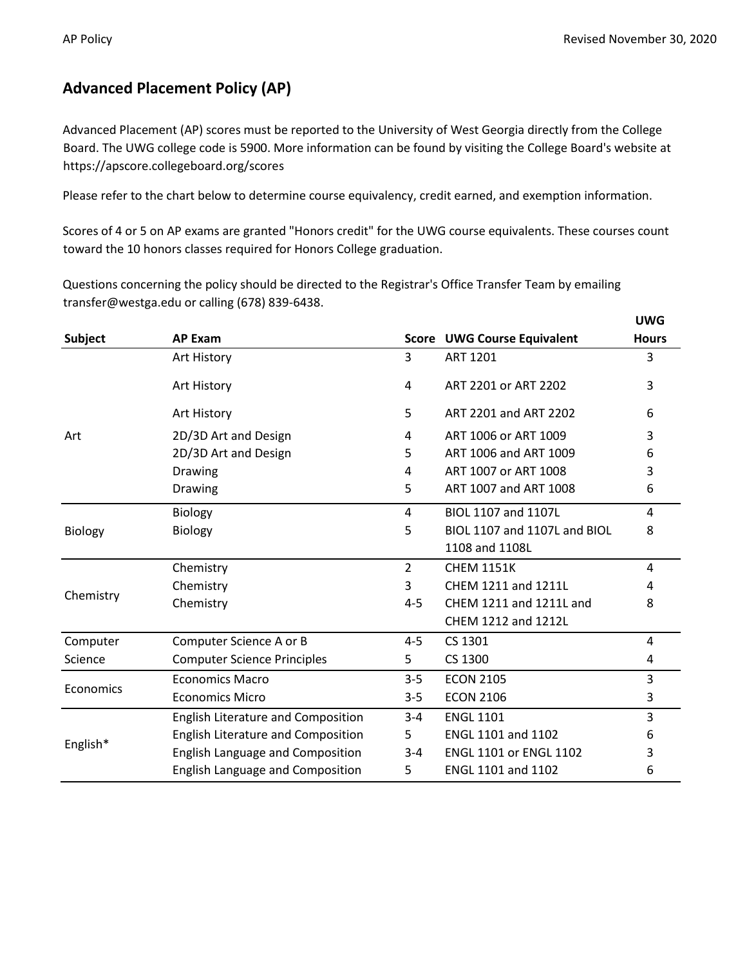## **Advanced Placement Policy (AP)**

Advanced Placement (AP) scores must be reported to the University of West Georgia directly from the College Board. The UWG college code is 5900. More information can be found by visiting the College Board's website at https://apscore.collegeboard.org/scores

Please refer to the chart below to determine course equivalency, credit earned, and exemption information.

Scores of 4 or 5 on AP exams are granted "Honors credit" for the UWG course equivalents. These courses count toward the 10 honors classes required for Honors College graduation.

Questions concerning the policy should be directed to the Registrar's Office Transfer Team by emailing transfer@westga.edu or calling (678) 839-6438.

|                |                                           |                |                                    | <b>UWG</b>   |
|----------------|-------------------------------------------|----------------|------------------------------------|--------------|
| <b>Subject</b> | <b>AP Exam</b>                            |                | <b>Score UWG Course Equivalent</b> | <b>Hours</b> |
|                | Art History                               | 3              | <b>ART 1201</b>                    | 3            |
|                | Art History                               | 4              | ART 2201 or ART 2202               | 3            |
| Art            | Art History                               | 5              | ART 2201 and ART 2202              | 6            |
|                | 2D/3D Art and Design                      | 4              | ART 1006 or ART 1009               | 3            |
|                | 2D/3D Art and Design                      | 5.             | ART 1006 and ART 1009              | 6            |
|                | Drawing                                   | 4              | ART 1007 or ART 1008               | 3            |
|                | Drawing                                   | 5              | ART 1007 and ART 1008              | 6            |
| Biology        | <b>Biology</b>                            | 4              | BIOL 1107 and 1107L                | 4            |
|                | <b>Biology</b>                            | 5              | BIOL 1107 and 1107L and BIOL       | 8            |
|                |                                           |                | 1108 and 1108L                     |              |
| Chemistry      | Chemistry                                 | $\overline{2}$ | <b>CHEM 1151K</b>                  | 4            |
|                | Chemistry                                 | 3              | CHEM 1211 and 1211L                | 4            |
|                | Chemistry                                 | 4-5            | CHEM 1211 and 1211L and            | 8            |
|                |                                           |                | CHEM 1212 and 1212L                |              |
| Computer       | Computer Science A or B                   | 4-5            | CS 1301                            | 4            |
| Science        | <b>Computer Science Principles</b>        | 5              | CS 1300                            | 4            |
| Economics      | <b>Economics Macro</b>                    | $3 - 5$        | <b>ECON 2105</b>                   | 3            |
|                | <b>Economics Micro</b>                    | $3 - 5$        | <b>ECON 2106</b>                   | 3            |
| English*       | <b>English Literature and Composition</b> | $3 - 4$        | <b>ENGL 1101</b>                   | 3            |
|                | English Literature and Composition        | 5.             | ENGL 1101 and 1102                 | 6            |
|                | <b>English Language and Composition</b>   | $3 - 4$        | <b>ENGL 1101 or ENGL 1102</b>      | 3            |
|                | <b>English Language and Composition</b>   | 5              | ENGL 1101 and 1102                 | 6            |